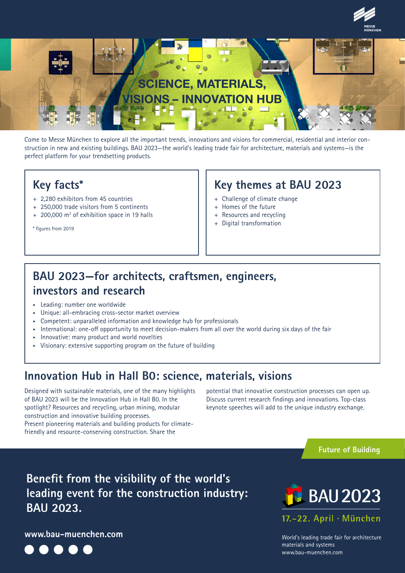



Come to Messe München to explore all the important trends, innovations and visions for commercial, residential and interior construction in new and existing buildings. BAU 2023—the world's leading trade fair for architecture, materials and systems—is the perfect platform for your trendsetting products.

#### **Key facts\***

- + 2,280 exhibitors from 45 countries
- + 250,000 trade visitors from 5 continents
- + 200,000 m<sup>2</sup> of exhibition space in 19 halls

\* figures from 2019

#### **Key themes at BAU 2023**

- + Challenge of climate change
- + Homes of the future
- + Resources and recycling
- + Digital transformation

# **BAU 2023—for architects, craftsmen, engineers, investors and research**

- Leading: number one worldwide
- Unique: all-embracing cross-sector market overview
- Competent: unparalleled information and knowledge hub for professionals
- International: one-off opportunity to meet decision-makers from all over the world during six days of the fair
- Innovative: many product and world novelties
- Visionary: extensive supporting program on the future of building

## **Innovation Hub in Hall B0: science, materials, visions**

Designed with sustainable materials, one of the many highlights of BAU 2023 will be the Innovation Hub in Hall B0. In the spotlight? Resources and recycling, urban mining, modular construction and innovative building processes. Present pioneering materials and building products for climatefriendly and resource-conserving construction. Share the

potential that innovative construction processes can open up. Discuss current research findings and innovations. Top-class keynote speeches will add to the unique industry exchange.

**Future of Building**

**Benefit from the visibility of the world's leading event for the construction industry: BAU 2023.**

**www.bau-muenchen.com**



17.-22. April · München World's leading trade fair for architecture materials and systems

**BAU 2023** 

www.bau-muenchen.com